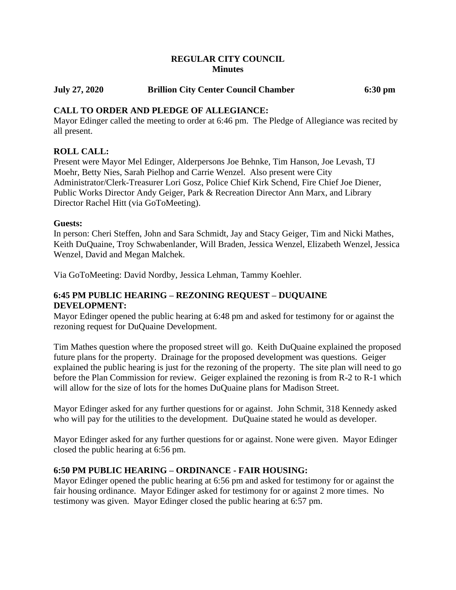# **REGULAR CITY COUNCIL Minutes**

# **July 27, 2020 Brillion City Center Council Chamber 6:30 pm**

# **CALL TO ORDER AND PLEDGE OF ALLEGIANCE:**

Mayor Edinger called the meeting to order at 6:46 pm. The Pledge of Allegiance was recited by all present.

# **ROLL CALL:**

Present were Mayor Mel Edinger, Alderpersons Joe Behnke, Tim Hanson, Joe Levash, TJ Moehr, Betty Nies, Sarah Pielhop and Carrie Wenzel. Also present were City Administrator/Clerk-Treasurer Lori Gosz, Police Chief Kirk Schend, Fire Chief Joe Diener, Public Works Director Andy Geiger, Park & Recreation Director Ann Marx, and Library Director Rachel Hitt (via GoToMeeting).

# **Guests:**

In person: Cheri Steffen, John and Sara Schmidt, Jay and Stacy Geiger, Tim and Nicki Mathes, Keith DuQuaine, Troy Schwabenlander, Will Braden, Jessica Wenzel, Elizabeth Wenzel, Jessica Wenzel, David and Megan Malchek.

Via GoToMeeting: David Nordby, Jessica Lehman, Tammy Koehler.

# **6:45 PM PUBLIC HEARING – REZONING REQUEST – DUQUAINE DEVELOPMENT:**

Mayor Edinger opened the public hearing at 6:48 pm and asked for testimony for or against the rezoning request for DuQuaine Development.

Tim Mathes question where the proposed street will go. Keith DuQuaine explained the proposed future plans for the property. Drainage for the proposed development was questions. Geiger explained the public hearing is just for the rezoning of the property. The site plan will need to go before the Plan Commission for review. Geiger explained the rezoning is from R-2 to R-1 which will allow for the size of lots for the homes DuQuaine plans for Madison Street.

Mayor Edinger asked for any further questions for or against. John Schmit, 318 Kennedy asked who will pay for the utilities to the development. DuQuaine stated he would as developer.

Mayor Edinger asked for any further questions for or against. None were given. Mayor Edinger closed the public hearing at 6:56 pm.

# **6:50 PM PUBLIC HEARING – ORDINANCE - FAIR HOUSING:**

Mayor Edinger opened the public hearing at 6:56 pm and asked for testimony for or against the fair housing ordinance. Mayor Edinger asked for testimony for or against 2 more times. No testimony was given. Mayor Edinger closed the public hearing at 6:57 pm.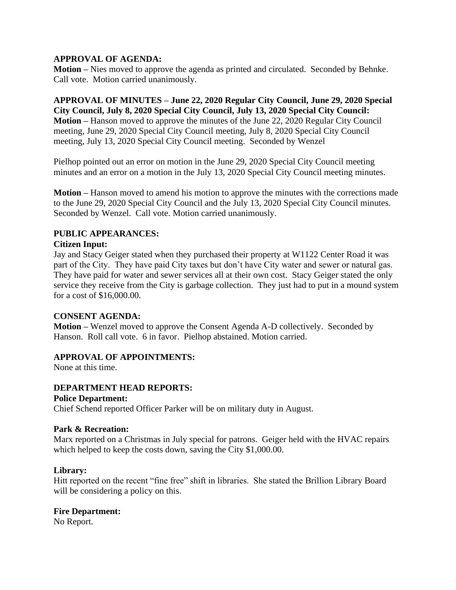# **APPROVAL OF AGENDA:**

**Motion –** Nies moved to approve the agenda as printed and circulated. Seconded by Behnke. Call vote. Motion carried unanimously.

**APPROVAL OF MINUTES – June 22, 2020 Regular City Council, June 29, 2020 Special City Council, July 8, 2020 Special City Council, July 13, 2020 Special City Council: Motion –** Hanson moved to approve the minutes of the June 22, 2020 Regular City Council meeting, June 29, 2020 Special City Council meeting, July 8, 2020 Special City Council meeting, July 13, 2020 Special City Council meeting. Seconded by Wenzel

Pielhop pointed out an error on motion in the June 29, 2020 Special City Council meeting minutes and an error on a motion in the July 13, 2020 Special City Council meeting minutes.

**Motion –** Hanson moved to amend his motion to approve the minutes with the corrections made to the June 29, 2020 Special City Council and the July 13, 2020 Special City Council minutes. Seconded by Wenzel. Call vote. Motion carried unanimously.

# **PUBLIC APPEARANCES:**

# **Citizen Input:**

Jay and Stacy Geiger stated when they purchased their property at W1122 Center Road it was part of the City. They have paid City taxes but don't have City water and sewer or natural gas. They have paid for water and sewer services all at their own cost. Stacy Geiger stated the only service they receive from the City is garbage collection. They just had to put in a mound system for a cost of \$16,000.00.

# **CONSENT AGENDA:**

**Motion –** Wenzel moved to approve the Consent Agenda A-D collectively. Seconded by Hanson. Roll call vote. 6 in favor. Pielhop abstained. Motion carried.

# **APPROVAL OF APPOINTMENTS:**

None at this time.

# **DEPARTMENT HEAD REPORTS:**

#### **Police Department:**

Chief Schend reported Officer Parker will be on military duty in August.

# **Park & Recreation:**

Marx reported on a Christmas in July special for patrons. Geiger held with the HVAC repairs which helped to keep the costs down, saving the City \$1,000.00.

# **Library:**

Hitt reported on the recent "fine free" shift in libraries. She stated the Brillion Library Board will be considering a policy on this.

# **Fire Department:**

No Report.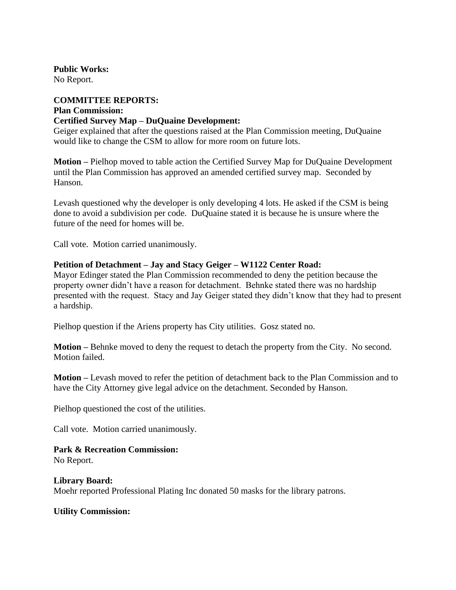**Public Works:** No Report.

# **COMMITTEE REPORTS: Plan Commission: Certified Survey Map – DuQuaine Development:**

Geiger explained that after the questions raised at the Plan Commission meeting, DuQuaine would like to change the CSM to allow for more room on future lots.

**Motion –** Pielhop moved to table action the Certified Survey Map for DuQuaine Development until the Plan Commission has approved an amended certified survey map. Seconded by Hanson.

Levash questioned why the developer is only developing 4 lots. He asked if the CSM is being done to avoid a subdivision per code. DuQuaine stated it is because he is unsure where the future of the need for homes will be.

Call vote. Motion carried unanimously.

# **Petition of Detachment – Jay and Stacy Geiger – W1122 Center Road:**

Mayor Edinger stated the Plan Commission recommended to deny the petition because the property owner didn't have a reason for detachment. Behnke stated there was no hardship presented with the request. Stacy and Jay Geiger stated they didn't know that they had to present a hardship.

Pielhop question if the Ariens property has City utilities. Gosz stated no.

**Motion –** Behnke moved to deny the request to detach the property from the City. No second. Motion failed.

**Motion –** Levash moved to refer the petition of detachment back to the Plan Commission and to have the City Attorney give legal advice on the detachment. Seconded by Hanson.

Pielhop questioned the cost of the utilities.

Call vote. Motion carried unanimously.

**Park & Recreation Commission:** No Report.

**Library Board:** Moehr reported Professional Plating Inc donated 50 masks for the library patrons.

**Utility Commission:**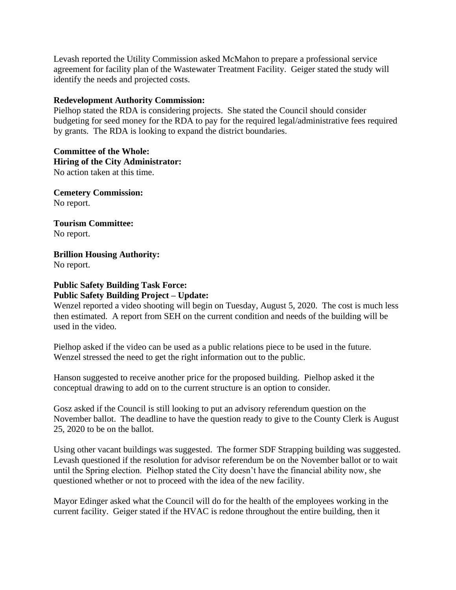Levash reported the Utility Commission asked McMahon to prepare a professional service agreement for facility plan of the Wastewater Treatment Facility. Geiger stated the study will identify the needs and projected costs.

# **Redevelopment Authority Commission:**

Pielhop stated the RDA is considering projects. She stated the Council should consider budgeting for seed money for the RDA to pay for the required legal/administrative fees required by grants. The RDA is looking to expand the district boundaries.

#### **Committee of the Whole: Hiring of the City Administrator:** No action taken at this time.

**Cemetery Commission:** No report.

**Tourism Committee:** No report.

**Brillion Housing Authority:** No report.

# **Public Safety Building Task Force: Public Safety Building Project – Update:**

Wenzel reported a video shooting will begin on Tuesday, August 5, 2020. The cost is much less then estimated. A report from SEH on the current condition and needs of the building will be used in the video.

Pielhop asked if the video can be used as a public relations piece to be used in the future. Wenzel stressed the need to get the right information out to the public.

Hanson suggested to receive another price for the proposed building. Pielhop asked it the conceptual drawing to add on to the current structure is an option to consider.

Gosz asked if the Council is still looking to put an advisory referendum question on the November ballot. The deadline to have the question ready to give to the County Clerk is August 25, 2020 to be on the ballot.

Using other vacant buildings was suggested. The former SDF Strapping building was suggested. Levash questioned if the resolution for advisor referendum be on the November ballot or to wait until the Spring election. Pielhop stated the City doesn't have the financial ability now, she questioned whether or not to proceed with the idea of the new facility.

Mayor Edinger asked what the Council will do for the health of the employees working in the current facility. Geiger stated if the HVAC is redone throughout the entire building, then it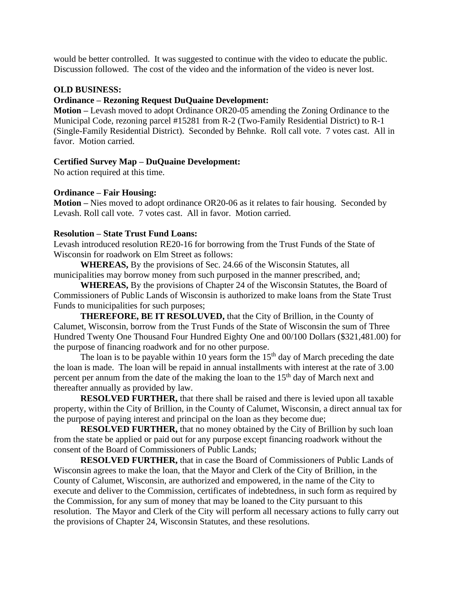would be better controlled. It was suggested to continue with the video to educate the public. Discussion followed. The cost of the video and the information of the video is never lost.

# **OLD BUSINESS:**

#### **Ordinance – Rezoning Request DuQuaine Development:**

**Motion –** Levash moved to adopt Ordinance OR20-05 amending the Zoning Ordinance to the Municipal Code, rezoning parcel #15281 from R-2 (Two-Family Residential District) to R-1 (Single-Family Residential District). Seconded by Behnke. Roll call vote. 7 votes cast. All in favor. Motion carried.

# **Certified Survey Map – DuQuaine Development:**

No action required at this time.

#### **Ordinance – Fair Housing:**

**Motion –** Nies moved to adopt ordinance OR20-06 as it relates to fair housing. Seconded by Levash. Roll call vote. 7 votes cast. All in favor. Motion carried.

# **Resolution – State Trust Fund Loans:**

Levash introduced resolution RE20-16 for borrowing from the Trust Funds of the State of Wisconsin for roadwork on Elm Street as follows:

**WHEREAS,** By the provisions of Sec. 24.66 of the Wisconsin Statutes, all municipalities may borrow money from such purposed in the manner prescribed, and;

**WHEREAS,** By the provisions of Chapter 24 of the Wisconsin Statutes, the Board of Commissioners of Public Lands of Wisconsin is authorized to make loans from the State Trust Funds to municipalities for such purposes;

**THEREFORE, BE IT RESOLUVED,** that the City of Brillion, in the County of Calumet, Wisconsin, borrow from the Trust Funds of the State of Wisconsin the sum of Three Hundred Twenty One Thousand Four Hundred Eighty One and 00/100 Dollars (\$321,481.00) for the purpose of financing roadwork and for no other purpose.

The loan is to be payable within 10 years form the  $15<sup>th</sup>$  day of March preceding the date the loan is made. The loan will be repaid in annual installments with interest at the rate of 3.00 percent per annum from the date of the making the loan to the 15<sup>th</sup> day of March next and thereafter annually as provided by law.

**RESOLVED FURTHER,** that there shall be raised and there is levied upon all taxable property, within the City of Brillion, in the County of Calumet, Wisconsin, a direct annual tax for the purpose of paying interest and principal on the loan as they become due;

**RESOLVED FURTHER,** that no money obtained by the City of Brillion by such loan from the state be applied or paid out for any purpose except financing roadwork without the consent of the Board of Commissioners of Public Lands;

**RESOLVED FURTHER,** that in case the Board of Commissioners of Public Lands of Wisconsin agrees to make the loan, that the Mayor and Clerk of the City of Brillion, in the County of Calumet, Wisconsin, are authorized and empowered, in the name of the City to execute and deliver to the Commission, certificates of indebtedness, in such form as required by the Commission, for any sum of money that may be loaned to the City pursuant to this resolution. The Mayor and Clerk of the City will perform all necessary actions to fully carry out the provisions of Chapter 24, Wisconsin Statutes, and these resolutions.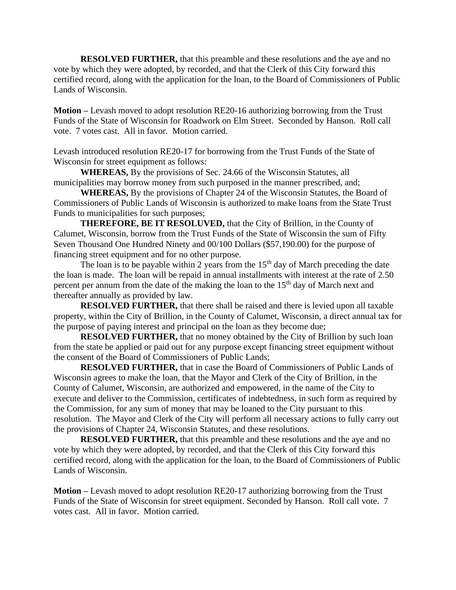**RESOLVED FURTHER,** that this preamble and these resolutions and the aye and no vote by which they were adopted, by recorded, and that the Clerk of this City forward this certified record, along with the application for the loan, to the Board of Commissioners of Public Lands of Wisconsin.

**Motion –** Levash moved to adopt resolution RE20-16 authorizing borrowing from the Trust Funds of the State of Wisconsin for Roadwork on Elm Street. Seconded by Hanson. Roll call vote. 7 votes cast. All in favor. Motion carried.

Levash introduced resolution RE20-17 for borrowing from the Trust Funds of the State of Wisconsin for street equipment as follows:

**WHEREAS,** By the provisions of Sec. 24.66 of the Wisconsin Statutes, all municipalities may borrow money from such purposed in the manner prescribed, and;

**WHEREAS,** By the provisions of Chapter 24 of the Wisconsin Statutes, the Board of Commissioners of Public Lands of Wisconsin is authorized to make loans from the State Trust Funds to municipalities for such purposes;

**THEREFORE, BE IT RESOLUVED,** that the City of Brillion, in the County of Calumet, Wisconsin, borrow from the Trust Funds of the State of Wisconsin the sum of Fifty Seven Thousand One Hundred Ninety and 00/100 Dollars (\$57,190.00) for the purpose of financing street equipment and for no other purpose.

The loan is to be payable within 2 years from the  $15<sup>th</sup>$  day of March preceding the date the loan is made. The loan will be repaid in annual installments with interest at the rate of 2.50 percent per annum from the date of the making the loan to the  $15<sup>th</sup>$  day of March next and thereafter annually as provided by law.

**RESOLVED FURTHER,** that there shall be raised and there is levied upon all taxable property, within the City of Brillion, in the County of Calumet, Wisconsin, a direct annual tax for the purpose of paying interest and principal on the loan as they become due;

**RESOLVED FURTHER,** that no money obtained by the City of Brillion by such loan from the state be applied or paid out for any purpose except financing street equipment without the consent of the Board of Commissioners of Public Lands;

**RESOLVED FURTHER,** that in case the Board of Commissioners of Public Lands of Wisconsin agrees to make the loan, that the Mayor and Clerk of the City of Brillion, in the County of Calumet, Wisconsin, are authorized and empowered, in the name of the City to execute and deliver to the Commission, certificates of indebtedness, in such form as required by the Commission, for any sum of money that may be loaned to the City pursuant to this resolution. The Mayor and Clerk of the City will perform all necessary actions to fully carry out the provisions of Chapter 24, Wisconsin Statutes, and these resolutions.

**RESOLVED FURTHER,** that this preamble and these resolutions and the aye and no vote by which they were adopted, by recorded, and that the Clerk of this City forward this certified record, along with the application for the loan, to the Board of Commissioners of Public Lands of Wisconsin.

**Motion –** Levash moved to adopt resolution RE20-17 authorizing borrowing from the Trust Funds of the State of Wisconsin for street equipment. Seconded by Hanson. Roll call vote. 7 votes cast. All in favor. Motion carried.